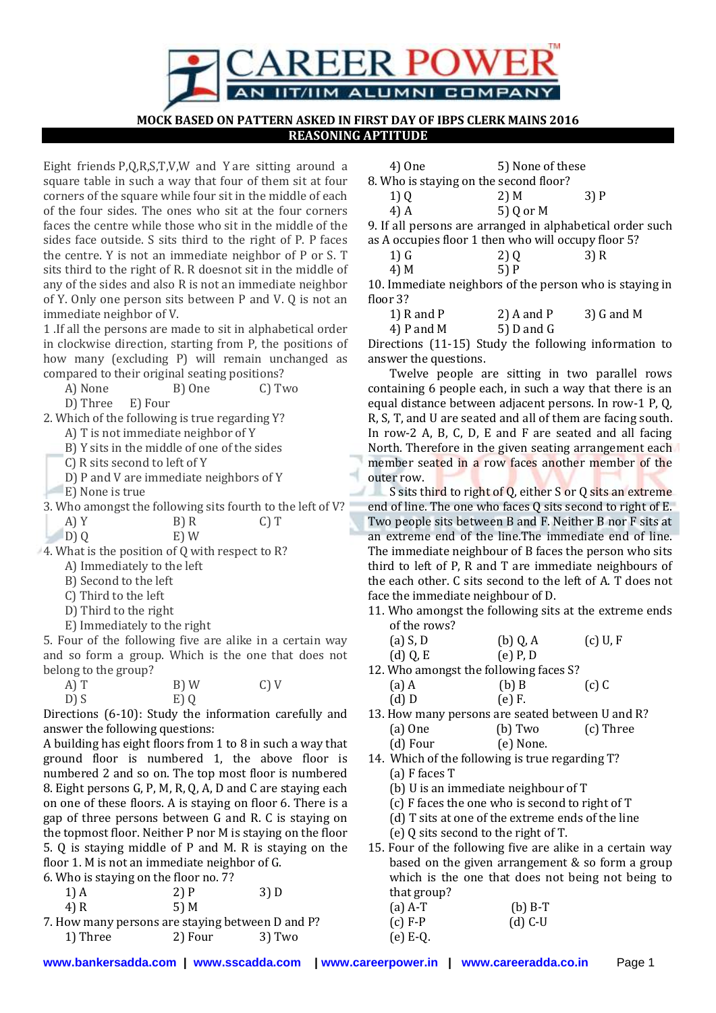

**MOCK BASED ON PATTERN ASKED IN FIRST DAY OF IBPS CLERK MAINS 2016 REASONING APTITUDE**

Eight friends P,Q,R,S,T,V,W and Y are sitting around a square table in such a way that four of them sit at four corners of the square while four sit in the middle of each of the four sides. The ones who sit at the four corners faces the centre while those who sit in the middle of the sides face outside. S sits third to the right of P. P faces the centre. Y is not an immediate neighbor of P or S. T sits third to the right of R. R doesnot sit in the middle of any of the sides and also R is not an immediate neighbor of Y. Only one person sits between P and V. Q is not an immediate neighbor of V.

1 .If all the persons are made to sit in alphabetical order in clockwise direction, starting from P, the positions of how many (excluding P) will remain unchanged as compared to their original seating positions?

A) None B) One C) Two D) Three E) Four

2. Which of the following is true regarding Y?

A) T is not immediate neighbor of Y

B) Y sits in the middle of one of the sides

C) R sits second to left of Y

D) P and V are immediate neighbors of Y

E) None is true

3. Who amongst the following sits fourth to the left of V?

A) Y B) R C) T D) Q E) W

4. What is the position of Q with respect to R?

- A) Immediately to the left
- B) Second to the left
- C) Third to the left
- D) Third to the right
- E) Immediately to the right

5. Four of the following five are alike in a certain way and so form a group. Which is the one that does not belong to the group?

 $A) T$  B) W C) V  $D) S$  E) Q

Directions (6-10): Study the information carefully and answer the following questions:

A building has eight floors from 1 to 8 in such a way that ground floor is numbered 1, the above floor is numbered 2 and so on. The top most floor is numbered 8. Eight persons G, P, M, R, Q, A, D and C are staying each on one of these floors. A is staying on floor 6. There is a gap of three persons between G and R. C is staying on the topmost floor. Neither P nor M is staying on the floor 5. Q is staying middle of P and M. R is staying on the floor 1. M is not an immediate neighbor of G.

6. Who is staying on the floor no. 7?

| $1)$ A | 2)P  | 3) D |
|--------|------|------|
| 4) R   | 5) M |      |

| 7. How many persons are staying between D and P? |         |        |
|--------------------------------------------------|---------|--------|
| 1) Three                                         | 2) Four | 3) Two |

|                                        | 4) One | 5) None of these |  |
|----------------------------------------|--------|------------------|--|
| 8. Who is staying on the second floor? |        |                  |  |
|                                        |        |                  |  |

| 1)Q  | $2)$ M    | 3)P |
|------|-----------|-----|
| 4) A | 5) Q or M |     |

9. If all persons are arranged in alphabetical order such as A occupies floor 1 then who will occupy floor 5?

| 4) M |  | 5)P |
|------|--|-----|
|      |  |     |

10. Immediate neighbors of the person who is staying in floor 3?

1) R and P 2) A and P 3) G and M

4) P and M  $=$  5) D and G

Directions (11-15) Study the following information to answer the questions.

Twelve people are sitting in two parallel rows containing 6 people each, in such a way that there is an equal distance between adjacent persons. In row-1 P, Q, R, S, T, and U are seated and all of them are facing south. In row-2 A, B, C, D, E and F are seated and all facing North. Therefore in the given seating arrangement each member seated in a row faces another member of the outer row.

S sits third to right of Q, either S or Q sits an extreme 4 J. end of line. The one who faces Q sits second to right of E. Two people sits between B and F. Neither B nor F sits at an extreme end of the line.The immediate end of line. The immediate neighbour of B faces the person who sits third to left of P, R and T are immediate neighbours of the each other. C sits second to the left of A. T does not face the immediate neighbour of D.

- 11. Who amongst the following sits at the extreme ends of the rows?
	- $(a) S, D$  (b)  $0, A$  (c)  $U, F$  $(d)$  Q, E  $(e)$  P, D
- 12. Who amongst the following faces S?
- $(a) A$  (b) B (c) C (d) D (e) F.
- 13. How many persons are seated between U and R? (a) One (b) Two (c) Three (d) Four (e) None.
- 14. Which of the following is true regarding T? (a) F faces T
	- (b) U is an immediate neighbour of T
	- (c) F faces the one who is second to right of T
	- (d) T sits at one of the extreme ends of the line
	- (e) Q sits second to the right of T.
- 15. Four of the following five are alike in a certain way based on the given arrangement & so form a group which is the one that does not being not being to that group?

| $(a)$ A-T  | $(b)$ B-T |
|------------|-----------|
| $(c) F-P$  | $(d)$ C-U |
| $(e) E-Q.$ |           |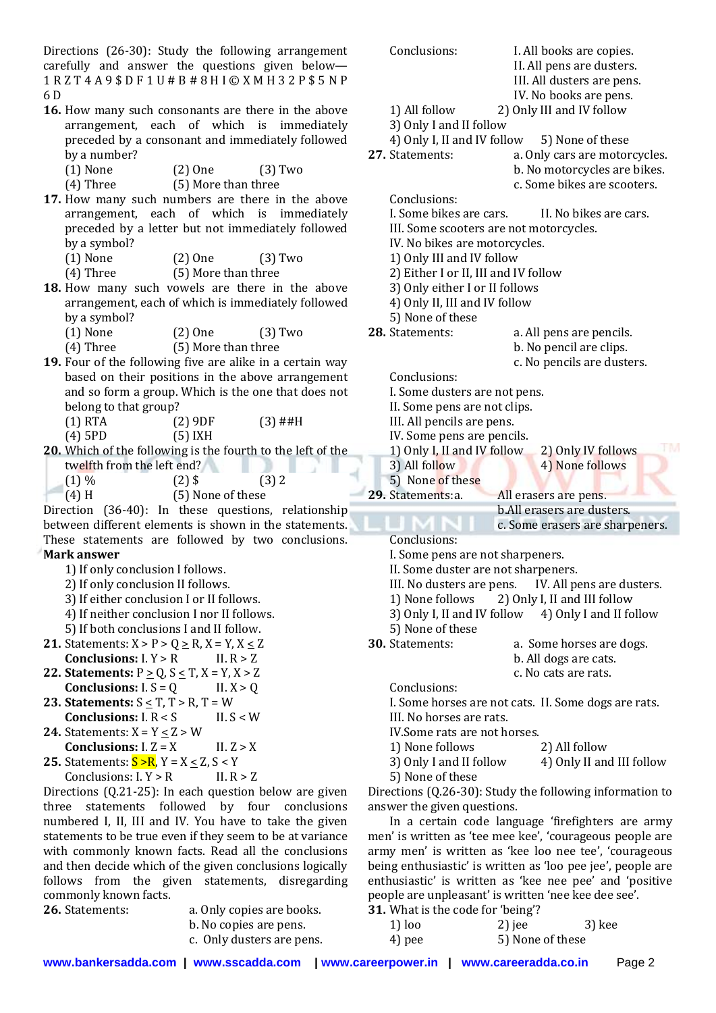Directions (26-30): Study the following arrangement carefully and answer the questions given below— 1 R Z T 4 A 9 \$ D F 1 U # B # 8 H I © X M H 3 2 P \$ 5 N P 6 D

- **16.** How many such consonants are there in the above arrangement, each of which is immediately preceded by a consonant and immediately followed by a number?
	- (1) None (2) One (3) Two

(4) Three (5) More than three

- **17.** How many such numbers are there in the above arrangement, each of which is immediately preceded by a letter but not immediately followed by a symbol?
	- (1) None (2) One (3) Two

(4) Three (5) More than three

- **18.** How many such vowels are there in the above arrangement, each of which is immediately followed by a symbol?
	- (1) None (2) One (3) Two
	- (4) Three (5) More than three
- **19.** Four of the following five are alike in a certain way based on their positions in the above arrangement and so form a group. Which is the one that does not belong to that group?
	- $(1)$  RTA  $(2)$  9DF  $(3)$  ##H (4) 5PD (5) IXH
- **20.** Which of the following is the fourth to the left of the twelfth from the left end? ш
	- $(1) \%$   $(2)$  \$  $(3)$  2
	- $(4)$  H  $(5)$  None of these

Direction (36-40): In these questions, relationship between different elements is shown in the statements. These statements are followed by two conclusions.

## **Mark answer**

- 1) If only conclusion I follows.
- 2) If only conclusion II follows.
- 3) If either conclusion I or II follows.
- 4) If neither conclusion I nor II follows.
- 5) If both conclusions I and II follow.
- **21.** Statements:  $X > P > Q \ge R$ ,  $X = Y$ ,  $X \le Z$ **Conclusions:**  $I, Y > R$  II.  $R > Z$
- **22. Statements:**  $P \ge Q$ ,  $S \le T$ ,  $X = Y$ ,  $X > Z$ **Conclusions:**  $I.S = Q$  II.  $X > 0$
- **23. Statements:**  $S \leq T$ ,  $T > R$ ,  $T = W$ **Conclusions:**  $I. R < S$  II.  $S < W$
- **24.** Statements:  $X = Y < Z > W$
- **Conclusions:**  $I. Z = X$  II.  $Z > X$ **25.** Statements:  $S > R$ ,  $Y = X < Z$ ,  $S < Y$ Conclusions:  $I, Y > R$  II.  $R > Z$

Directions (Q.21-25): In each question below are given three statements followed by four conclusions numbered I, II, III and IV. You have to take the given statements to be true even if they seem to be at variance with commonly known facts. Read all the conclusions and then decide which of the given conclusions logically follows from the given statements, disregarding commonly known facts.

| 26. Statements: |
|-----------------|
|                 |

- a. Only copies are books. b. No copies are pens.
- c. Only dusters are pens.

II. All pens are dusters. III. All dusters are pens. IV. No books are pens. 1) All follow 2) Only III and IV follow 3) Only I and II follow 4) Only I, II and IV follow 5) None of these **27.** Statements: a. Only cars are motorcycles. b. No motorcycles are bikes. c. Some bikes are scooters. Conclusions: I. Some bikes are cars. II. No bikes are cars. III. Some scooters are not motorcycles. IV. No bikes are motorcycles. 1) Only III and IV follow 2) Either I or II, III and IV follow 3) Only either I or II follows 4) Only II, III and IV follow 5) None of these **28.** Statements: a. All pens are pencils. b. No pencil are clips. c. No pencils are dusters. Conclusions: I. Some dusters are not pens. II. Some pens are not clips. III. All pencils are pens. IV. Some pens are pencils. FM 1) Only I, II and IV follow 2) Only IV follows 3) All follow 4) None follows 5) None of these **29.** Statements:a. All erasers are pens. b.All erasers are dusters. c. Some erasers are sharpeners. Conclusions: I. Some pens are not sharpeners. II. Some duster are not sharpeners. III. No dusters are pens. IV. All pens are dusters. 1) None follows 2) Only I, II and III follow 3) Only I, II and IV follow  $4$ ) Only I and II follow 5) None of these **30.** Statements: a. Some horses are dogs. b. All dogs are cats. c. No cats are rats. Conclusions: I. Some horses are not cats. II. Some dogs are rats. III. No horses are rats. IV.Some rats are not horses. 1) None follows 2) All follow

Conclusions: I. All books are copies.

- 3) Only I and II follow 4) Only II and III follow
- 5) None of these

Directions (Q.26-30): Study the following information to answer the given questions.

In a certain code language 'firefighters are army men' is written as 'tee mee kee', 'courageous people are army men' is written as 'kee loo nee tee', 'courageous being enthusiastic' is written as 'loo pee jee', people are enthusiastic' is written as 'kee nee pee' and 'positive people are unpleasant' is written 'nee kee dee see'.

**31.** What is the code for 'being'?

| $1)$ loo | $2)$ jee         | 3) kee |
|----------|------------------|--------|
| 4) pee   | 5) None of these |        |